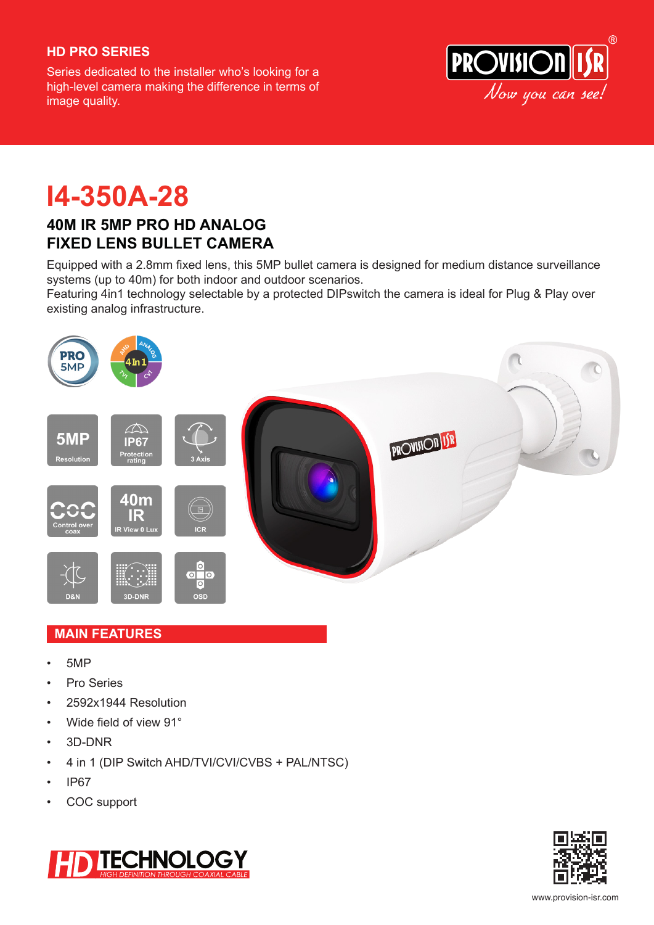## **HD PRO SERIES**

Series dedicated to the installer who's looking for a high-level camera making the difference in terms of image quality.



**I4-350A-28**

## **40M IR 5MP PRO HD ANALOG FIXED LENS BULLET CAMERA**

Equipped with a 2.8mm fixed lens, this 5MP bullet camera is designed for medium distance surveillance systems (up to 40m) for both indoor and outdoor scenarios.

Featuring 4in1 technology selectable by a protected DIPswitch the camera is ideal for Plug & Play over existing analog infrastructure.



### **MAIN FEATURES**

- 5MP
- Pro Series
- 2592x1944 Resolution
- Wide field of view 91°
- 3D-DNR
- 4 in 1 (DIP Switch AHD/TVI/CVI/CVBS + PAL/NTSC)
- IP67
- COC support



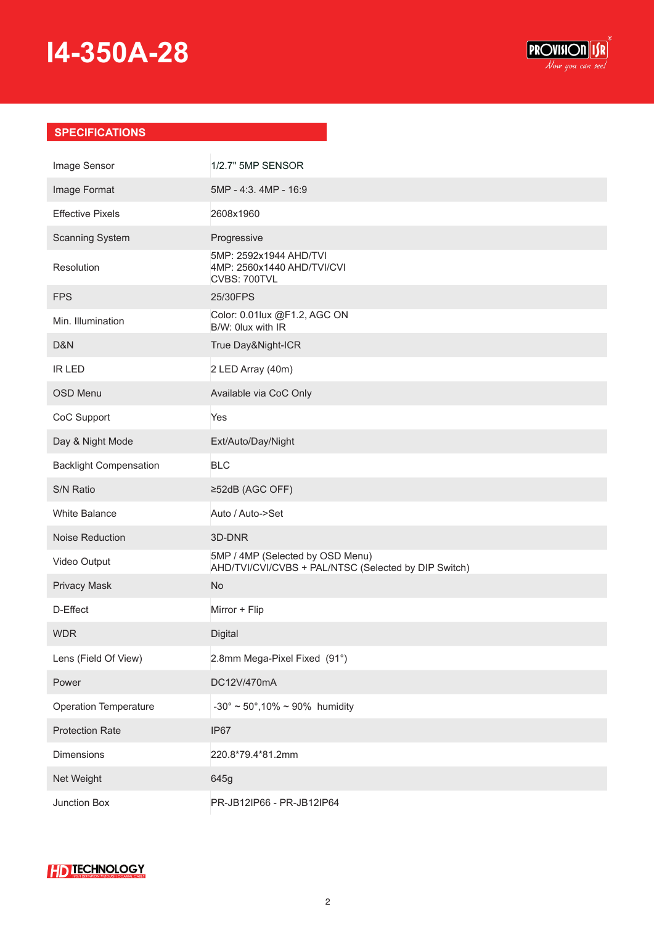# **I4-350A-28**



## **SPECIFICATIONS**

| Image Sensor                  | 1/2.7" 5MP SENSOR                                                                        |
|-------------------------------|------------------------------------------------------------------------------------------|
| Image Format                  | 5MP - 4:3. 4MP - 16:9                                                                    |
| <b>Effective Pixels</b>       | 2608x1960                                                                                |
| Scanning System               | Progressive                                                                              |
| Resolution                    | 5MP: 2592x1944 AHD/TVI<br>4MP: 2560x1440 AHD/TVI/CVI<br>CVBS: 700TVL                     |
| <b>FPS</b>                    | 25/30FPS                                                                                 |
| Min. Illumination             | Color: 0.01lux @F1.2, AGC ON<br>B/W: 0lux with IR                                        |
| D&N                           | True Day&Night-ICR                                                                       |
| <b>IR LED</b>                 | 2 LED Array (40m)                                                                        |
| <b>OSD Menu</b>               | Available via CoC Only                                                                   |
| CoC Support                   | Yes                                                                                      |
| Day & Night Mode              | Ext/Auto/Day/Night                                                                       |
| <b>Backlight Compensation</b> | <b>BLC</b>                                                                               |
| S/N Ratio                     | ≥52dB (AGC OFF)                                                                          |
| White Balance                 | Auto / Auto->Set                                                                         |
| Noise Reduction               | 3D-DNR                                                                                   |
| Video Output                  | 5MP / 4MP (Selected by OSD Menu)<br>AHD/TVI/CVI/CVBS + PAL/NTSC (Selected by DIP Switch) |
| <b>Privacy Mask</b>           | <b>No</b>                                                                                |
| D-Effect                      | Mirror + Flip                                                                            |
| <b>WDR</b>                    | Digital                                                                                  |
| Lens (Field Of View)          | 2.8mm Mega-Pixel Fixed (91°)                                                             |
| Power                         | DC12V/470mA                                                                              |
| <b>Operation Temperature</b>  | $-30^{\circ} \sim 50^{\circ}, 10\% \sim 90\%$ humidity                                   |
| <b>Protection Rate</b>        | IP67                                                                                     |
| Dimensions                    | 220.8*79.4*81.2mm                                                                        |
| Net Weight                    | 645g                                                                                     |
| Junction Box                  | PR-JB12IP66 - PR-JB12IP64                                                                |

## **HD TECHNOLOGY**